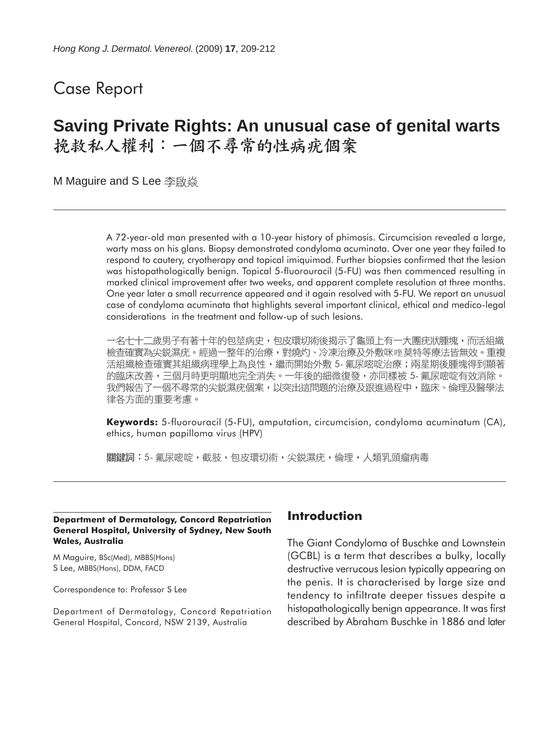# Case Report

# **Saving Private Rights: An unusual case of genital warts** 挽救私人權利:一個不尋常的性病疣個案

M Maguire and S Lee 李啟焱

A 72-year-old man presented with a 10-year history of phimosis. Circumcision revealed a large, warty mass on his glans. Biopsy demonstrated condyloma acuminata. Over one year they failed to respond to cautery, cryotherapy and topical imiquimod. Further biopsies confirmed that the lesion was histopathologically benign. Topical 5-fluorouracil (5-FU) was then commenced resulting in marked clinical improvement after two weeks, and apparent complete resolution at three months. One year later a small recurrence appeared and it again resolved with 5-FU. We report an unusual case of condyloma acuminata that highlights several important clinical, ethical and medico-legal considerations in the treatment and follow-up of such lesions.

一名七十二歲男子有著十年的包莖病史,包皮環切術後揭示了龜頭上有一大團疣狀腫塊,而活組織 檢查確實為尖鋭濕疣。經過一整年的治療,對燒灼、冷凍治療及外敷咪喹莫特等療法皆無效。重複 活組織檢查確實其組織病理學上為良性,繼而開始外敷 5- 氟尿嘧啶治療;兩星期後腫塊得到顯著 的臨床改善,三個月時更明顯地完全消失。一年後的細微復發,亦同樣被 5- 氟尿嘧啶有效消除。 我們報告了一個不尋常的尖鋭濕疣個案,以突出這問題的治療及跟進過程中,臨床、倫理及醫學法 律各方面的重要考慮。

**Keywords:** 5-fluorouracil (5-FU), amputation, circumcision, condyloma acuminatum (CA), ethics, human papilloma virus (HPV)

關鍵詞:5- 氟尿嘧啶,截肢,包皮環切術,尖鋭濕疣,倫理,人類乳頭瘤病毒

#### **Department of Dermatology, Concord Repatriation General Hospital, University of Sydney, New South Wales, Australia**

M Maguire, BSc(Med), MBBS(Hons) S Lee, MBBS(Hons), DDM, FACD

Correspondence to: Professor S Lee

Department of Dermatology, Concord Repatriation General Hospital, Concord, NSW 2139, Australia

### **Introduction**

The Giant Condyloma of Buschke and Lownstein (GCBL) is a term that describes a bulky, locally destructive verrucous lesion typically appearing on the penis. It is characterised by large size and tendency to infiltrate deeper tissues despite a histopathologically benign appearance. It was first described by Abraham Buschke in 1886 and later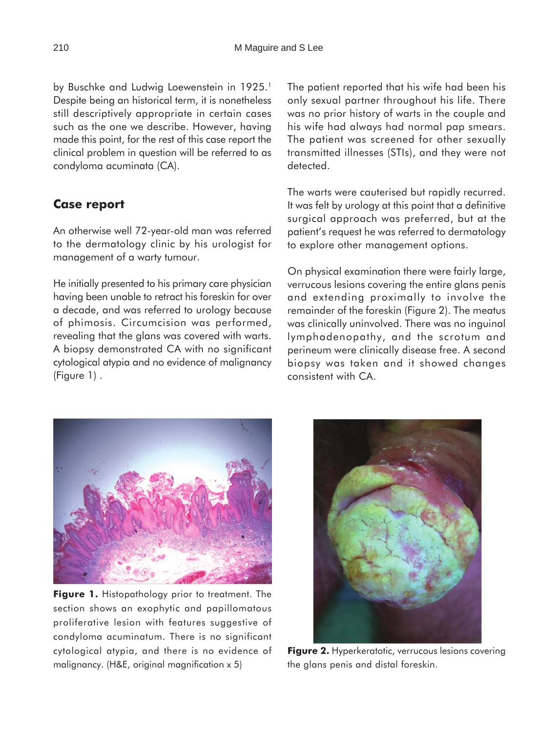by Buschke and Ludwig Loewenstein in 1925.<sup>1</sup> Despite being an historical term, it is nonetheless still descriptively appropriate in certain cases such as the one we describe. However, having made this point, for the rest of this case report the clinical problem in question will be referred to as condyloma acuminata (CA).

# **Case report**

An otherwise well 72-year-old man was referred to the dermatology clinic by his urologist for management of a warty tumour.

He initially presented to his primary care physician having been unable to retract his foreskin for over a decade, and was referred to urology because of phimosis. Circumcision was performed, revealing that the glans was covered with warts. A biopsy demonstrated CA with no significant cytological atypia and no evidence of malignancy (Figure 1) .

The patient reported that his wife had been his only sexual partner throughout his life. There was no prior history of warts in the couple and his wife had always had normal pap smears. The patient was screened for other sexually transmitted illnesses (STIs), and they were not detected.

The warts were cauterised but rapidly recurred. It was felt by urology at this point that a definitive surgical approach was preferred, but at the patient's request he was referred to dermatology to explore other management options.

On physical examination there were fairly large, verrucous lesions covering the entire glans penis and extending proximally to involve the remainder of the foreskin (Figure 2). The meatus was clinically uninvolved. There was no inguinal lymphadenopathy, and the scrotum and perineum were clinically disease free. A second biopsy was taken and it showed changes consistent with CA.



**Figure 1.** Histopathology prior to treatment. The section shows an exophytic and papillomatous proliferative lesion with features suggestive of condyloma acuminatum. There is no significant cytological atypia, and there is no evidence of malignancy. (H&E, original magnification x 5)



**Figure 2.** Hyperkeratotic, verrucous lesions covering the glans penis and distal foreskin.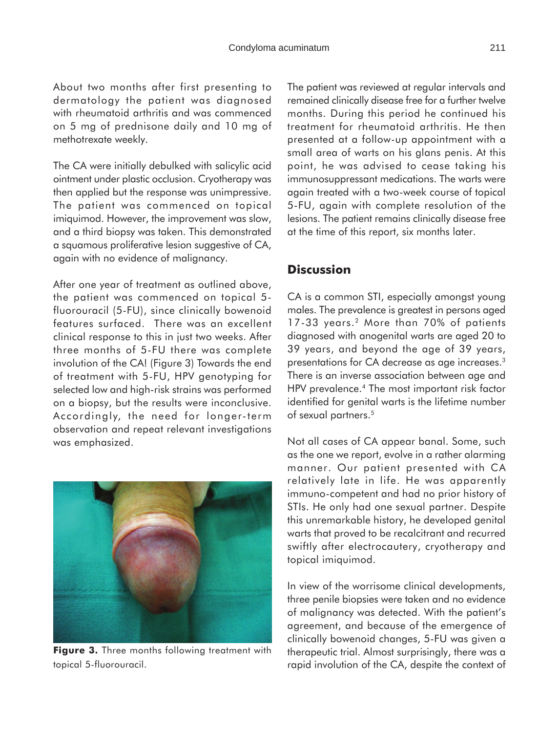About two months after first presenting to dermatology the patient was diagnosed with rheumatoid arthritis and was commenced on 5 mg of prednisone daily and 10 mg of methotrexate weekly.

The CA were initially debulked with salicylic acid ointment under plastic occlusion. Cryotherapy was then applied but the response was unimpressive. The patient was commenced on topical imiquimod. However, the improvement was slow, and a third biopsy was taken. This demonstrated a squamous proliferative lesion suggestive of CA, again with no evidence of malignancy.

After one year of treatment as outlined above, the patient was commenced on topical 5 fluorouracil (5-FU), since clinically bowenoid features surfaced. There was an excellent clinical response to this in just two weeks. After three months of 5-FU there was complete involution of the CA! (Figure 3) Towards the end of treatment with 5-FU, HPV genotyping for selected low and high-risk strains was performed on a biopsy, but the results were inconclusive. Accordingly, the need for longer-term observation and repeat relevant investigations was emphasized.



**Figure 3.** Three months following treatment with topical 5-fluorouracil.

The patient was reviewed at regular intervals and remained clinically disease free for a further twelve months. During this period he continued his treatment for rheumatoid arthritis. He then presented at a follow-up appointment with a small area of warts on his glans penis. At this point, he was advised to cease taking his immunosuppressant medications. The warts were again treated with a two-week course of topical 5-FU, again with complete resolution of the lesions. The patient remains clinically disease free at the time of this report, six months later.

## **Discussion**

CA is a common STI, especially amongst young males. The prevalence is greatest in persons aged 17-33 years.2 More than 70% of patients diagnosed with anogenital warts are aged 20 to 39 years, and beyond the age of 39 years, presentations for CA decrease as age increases.3 There is an inverse association between age and HPV prevalence.4 The most important risk factor identified for genital warts is the lifetime number of sexual partners.5

Not all cases of CA appear banal. Some, such as the one we report, evolve in a rather alarming manner. Our patient presented with CA relatively late in life. He was apparently immuno-competent and had no prior history of STIs. He only had one sexual partner. Despite this unremarkable history, he developed genital warts that proved to be recalcitrant and recurred swiftly after electrocautery, cryotherapy and topical imiquimod.

In view of the worrisome clinical developments, three penile biopsies were taken and no evidence of malignancy was detected. With the patient's agreement, and because of the emergence of clinically bowenoid changes, 5-FU was given a therapeutic trial. Almost surprisingly, there was a rapid involution of the CA, despite the context of